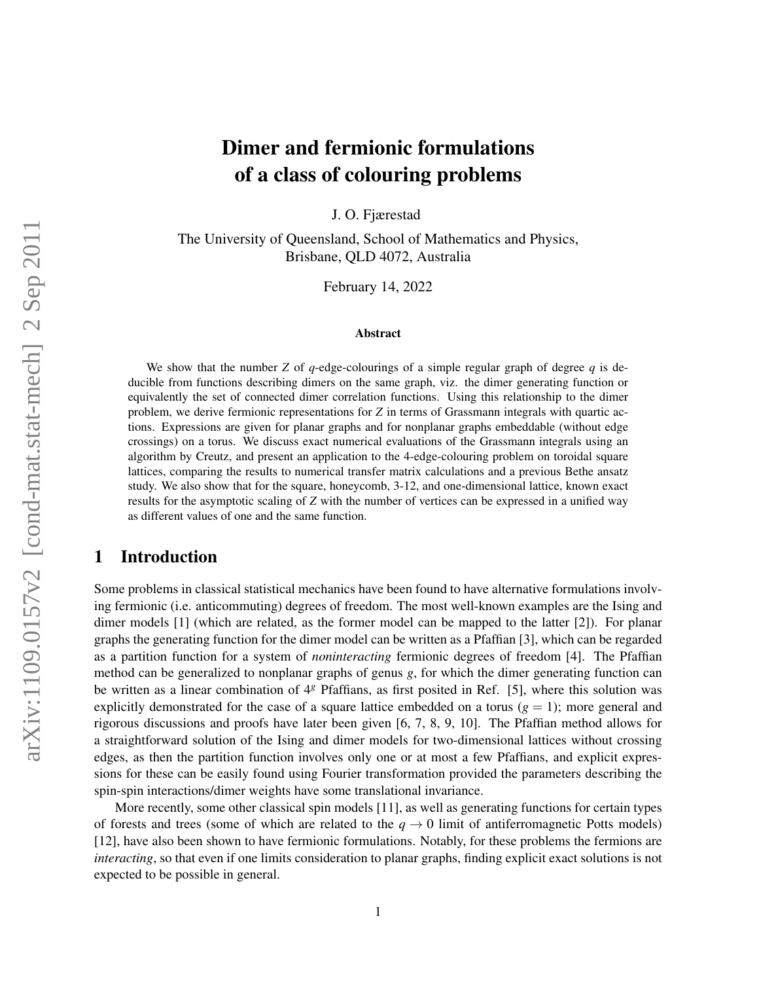# arXiv:1109.0157v2 [cond-mat.stat-mech] 2 Sep 2011 arXiv:1109.0157v2 [cond-mat.stat-mech] 2 Sep 2011

# Dimer and fermionic formulations of a class of colouring problems

J. O. Fjærestad

The University of Queensland, School of Mathematics and Physics, Brisbane, QLD 4072, Australia

February 14, 2022

#### Abstract

We show that the number *Z* of  $q$ -edge-colourings of a simple regular graph of degree  $q$  is deducible from functions describing dimers on the same graph, viz. the dimer generating function or equivalently the set of connected dimer correlation functions. Using this relationship to the dimer problem, we derive fermionic representations for *Z* in terms of Grassmann integrals with quartic actions. Expressions are given for planar graphs and for nonplanar graphs embeddable (without edge crossings) on a torus. We discuss exact numerical evaluations of the Grassmann integrals using an algorithm by Creutz, and present an application to the 4-edge-colouring problem on toroidal square lattices, comparing the results to numerical transfer matrix calculations and a previous Bethe ansatz study. We also show that for the square, honeycomb, 3-12, and one-dimensional lattice, known exact results for the asymptotic scaling of *Z* with the number of vertices can be expressed in a unified way as different values of one and the same function.

# 1 Introduction

Some problems in classical statistical mechanics have been found to have alternative formulations involving fermionic (i.e. anticommuting) degrees of freedom. The most well-known examples are the Ising and dimer models [1] (which are related, as the former model can be mapped to the latter [2]). For planar graphs the generating function for the dimer model can be written as a Pfaffian [3], which can be regarded as a partition function for a system of *noninteracting* fermionic degrees of freedom [4]. The Pfaffian method can be generalized to nonplanar graphs of genus *g*, for which the dimer generating function can be written as a linear combination of 4*<sup>g</sup>* Pfaffians, as first posited in Ref. [5], where this solution was explicitly demonstrated for the case of a square lattice embedded on a torus  $(q = 1)$ ; more general and rigorous discussions and proofs have later been given [6, 7, 8, 9, 10]. The Pfaffian method allows for a straightforward solution of the Ising and dimer models for two-dimensional lattices without crossing edges, as then the partition function involves only one or at most a few Pfaffians, and explicit expressions for these can be easily found using Fourier transformation provided the parameters describing the spin-spin interactions/dimer weights have some translational invariance.

More recently, some other classical spin models [11], as well as generating functions for certain types of forests and trees (some of which are related to the  $q \to 0$  limit of antiferromagnetic Potts models) [12], have also been shown to have fermionic formulations. Notably, for these problems the fermions are *interacting*, so that even if one limits consideration to planar graphs, finding explicit exact solutions is not expected to be possible in general.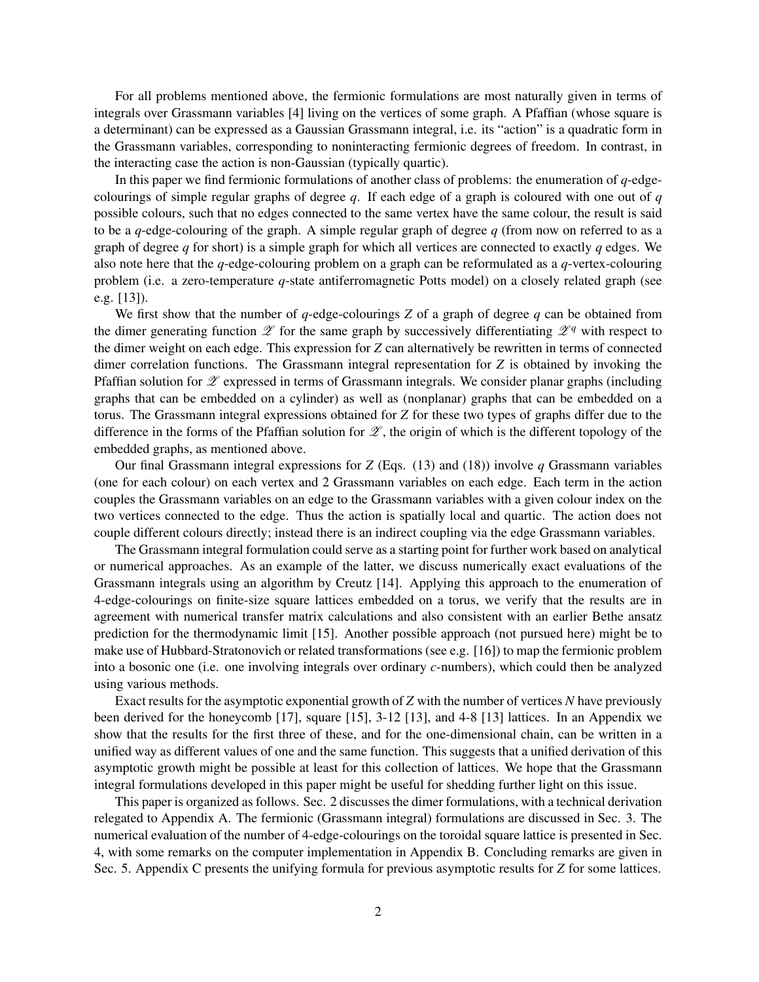For all problems mentioned above, the fermionic formulations are most naturally given in terms of integrals over Grassmann variables [4] living on the vertices of some graph. A Pfaffian (whose square is a determinant) can be expressed as a Gaussian Grassmann integral, i.e. its "action" is a quadratic form in the Grassmann variables, corresponding to noninteracting fermionic degrees of freedom. In contrast, in the interacting case the action is non-Gaussian (typically quartic).

In this paper we find fermionic formulations of another class of problems: the enumeration of *q*-edgecolourings of simple regular graphs of degree *q*. If each edge of a graph is coloured with one out of *q* possible colours, such that no edges connected to the same vertex have the same colour, the result is said to be a *q*-edge-colouring of the graph. A simple regular graph of degree *q* (from now on referred to as a graph of degree *q* for short) is a simple graph for which all vertices are connected to exactly *q* edges. We also note here that the *q*-edge-colouring problem on a graph can be reformulated as a *q*-vertex-colouring problem (i.e. a zero-temperature *q*-state antiferromagnetic Potts model) on a closely related graph (see e.g. [13]).

We first show that the number of  $q$ -edge-colourings  $Z$  of a graph of degree  $q$  can be obtained from the dimer generating function  $\mathscr Z$  for the same graph by successively differentiating  $\mathscr Z^q$  with respect to the dimer weight on each edge. This expression for *Z* can alternatively be rewritten in terms of connected dimer correlation functions. The Grassmann integral representation for *Z* is obtained by invoking the Pfaffian solution for  $\mathscr Z$  expressed in terms of Grassmann integrals. We consider planar graphs (including graphs that can be embedded on a cylinder) as well as (nonplanar) graphs that can be embedded on a torus. The Grassmann integral expressions obtained for *Z* for these two types of graphs differ due to the difference in the forms of the Pfaffian solution for  $\mathscr{Z}$ , the origin of which is the different topology of the embedded graphs, as mentioned above.

Our final Grassmann integral expressions for *Z* (Eqs. (13) and (18)) involve *q* Grassmann variables (one for each colour) on each vertex and 2 Grassmann variables on each edge. Each term in the action couples the Grassmann variables on an edge to the Grassmann variables with a given colour index on the two vertices connected to the edge. Thus the action is spatially local and quartic. The action does not couple different colours directly; instead there is an indirect coupling via the edge Grassmann variables.

The Grassmann integral formulation could serve as a starting point for further work based on analytical or numerical approaches. As an example of the latter, we discuss numerically exact evaluations of the Grassmann integrals using an algorithm by Creutz [14]. Applying this approach to the enumeration of 4-edge-colourings on finite-size square lattices embedded on a torus, we verify that the results are in agreement with numerical transfer matrix calculations and also consistent with an earlier Bethe ansatz prediction for the thermodynamic limit [15]. Another possible approach (not pursued here) might be to make use of Hubbard-Stratonovich or related transformations (see e.g. [16]) to map the fermionic problem into a bosonic one (i.e. one involving integrals over ordinary *c*-numbers), which could then be analyzed using various methods.

Exact results for the asymptotic exponential growth of *Z* with the number of vertices *N* have previously been derived for the honeycomb [17], square [15], 3-12 [13], and 4-8 [13] lattices. In an Appendix we show that the results for the first three of these, and for the one-dimensional chain, can be written in a unified way as different values of one and the same function. This suggests that a unified derivation of this asymptotic growth might be possible at least for this collection of lattices. We hope that the Grassmann integral formulations developed in this paper might be useful for shedding further light on this issue.

This paper is organized as follows. Sec. 2 discusses the dimer formulations, with a technical derivation relegated to Appendix A. The fermionic (Grassmann integral) formulations are discussed in Sec. 3. The numerical evaluation of the number of 4-edge-colourings on the toroidal square lattice is presented in Sec. 4, with some remarks on the computer implementation in Appendix B. Concluding remarks are given in Sec. 5. Appendix C presents the unifying formula for previous asymptotic results for *Z* for some lattices.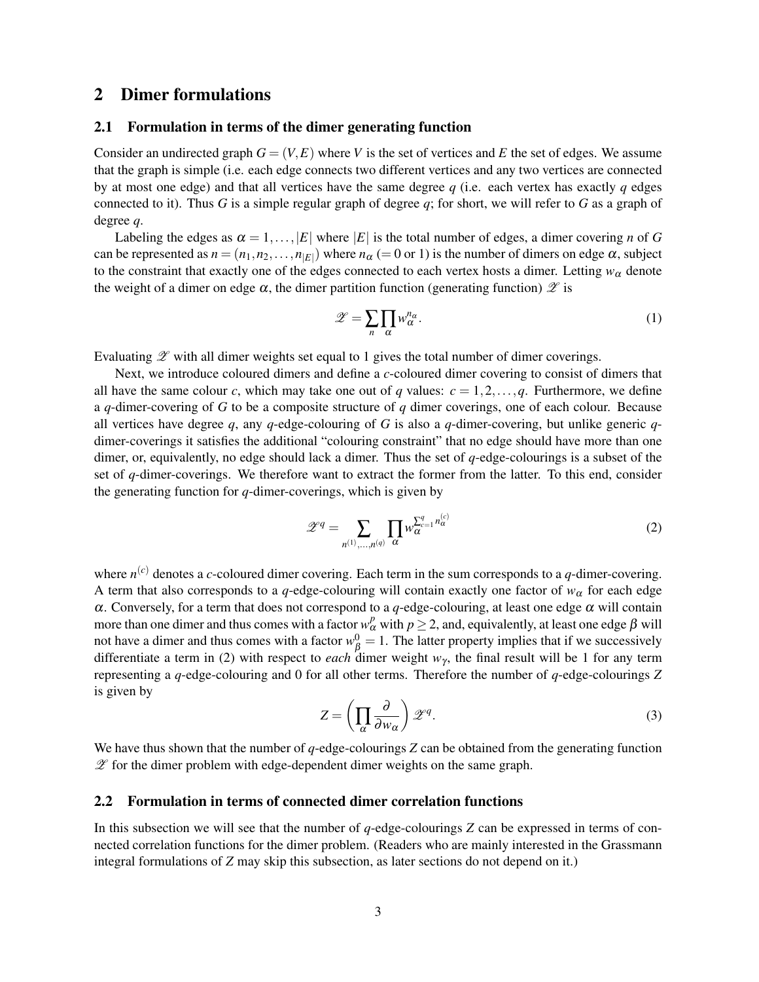# 2 Dimer formulations

#### 2.1 Formulation in terms of the dimer generating function

Consider an undirected graph  $G = (V, E)$  where V is the set of vertices and E the set of edges. We assume that the graph is simple (i.e. each edge connects two different vertices and any two vertices are connected by at most one edge) and that all vertices have the same degree *q* (i.e. each vertex has exactly *q* edges connected to it). Thus *G* is a simple regular graph of degree *q*; for short, we will refer to *G* as a graph of degree *q*.

Labeling the edges as  $\alpha = 1, \ldots, |E|$  where  $|E|$  is the total number of edges, a dimer covering *n* of *G* can be represented as  $n = (n_1, n_2, \ldots, n_{|E|})$  where  $n_\alpha (= 0 \text{ or } 1)$  is the number of dimers on edge  $\alpha$ , subject to the constraint that exactly one of the edges connected to each vertex hosts a dimer. Letting  $w_\alpha$  denote the weight of a dimer on edge  $\alpha$ , the dimer partition function (generating function)  $\mathscr Z$  is

$$
\mathscr{Z} = \sum_{n} \prod_{\alpha} w_{\alpha}^{n_{\alpha}}.
$$
 (1)

Evaluating  $\mathscr Z$  with all dimer weights set equal to 1 gives the total number of dimer coverings.

Next, we introduce coloured dimers and define a *c*-coloured dimer covering to consist of dimers that all have the same colour *c*, which may take one out of *q* values:  $c = 1, 2, \ldots, q$ . Furthermore, we define a *q*-dimer-covering of *G* to be a composite structure of *q* dimer coverings, one of each colour. Because all vertices have degree *q*, any *q*-edge-colouring of *G* is also a *q*-dimer-covering, but unlike generic *q*dimer-coverings it satisfies the additional "colouring constraint" that no edge should have more than one dimer, or, equivalently, no edge should lack a dimer. Thus the set of *q*-edge-colourings is a subset of the set of *q*-dimer-coverings. We therefore want to extract the former from the latter. To this end, consider the generating function for *q*-dimer-coverings, which is given by

$$
\mathscr{Z}^q = \sum_{n^{(1)},\dots,n^{(q)}} \prod_{\alpha} w_{\alpha}^{\sum_{c=1}^q n_{\alpha}^{(c)}} \tag{2}
$$

where  $n^{(c)}$  denotes a *c*-coloured dimer covering. Each term in the sum corresponds to a *q*-dimer-covering. A term that also corresponds to a *q*-edge-colouring will contain exactly one factor of  $w_\alpha$  for each edge  $\alpha$ . Conversely, for a term that does not correspond to a *q*-edge-colouring, at least one edge  $\alpha$  will contain more than one dimer and thus comes with a factor  $w^p_\alpha$  with  $p \ge 2$ , and, equivalently, at least one edge  $\beta$  will not have a dimer and thus comes with a factor  $w_{\beta}^0 = 1$ . The latter property implies that if we successively differentiate a term in (2) with respect to *each* dimer weight  $w<sub>y</sub>$ , the final result will be 1 for any term representing a *q*-edge-colouring and 0 for all other terms. Therefore the number of *q*-edge-colourings *Z* is given by

$$
Z = \left(\prod_{\alpha} \frac{\partial}{\partial w_{\alpha}}\right) \mathscr{Z}^q. \tag{3}
$$

We have thus shown that the number of *q*-edge-colourings *Z* can be obtained from the generating function  $\mathscr Z$  for the dimer problem with edge-dependent dimer weights on the same graph.

#### 2.2 Formulation in terms of connected dimer correlation functions

In this subsection we will see that the number of *q*-edge-colourings *Z* can be expressed in terms of connected correlation functions for the dimer problem. (Readers who are mainly interested in the Grassmann integral formulations of *Z* may skip this subsection, as later sections do not depend on it.)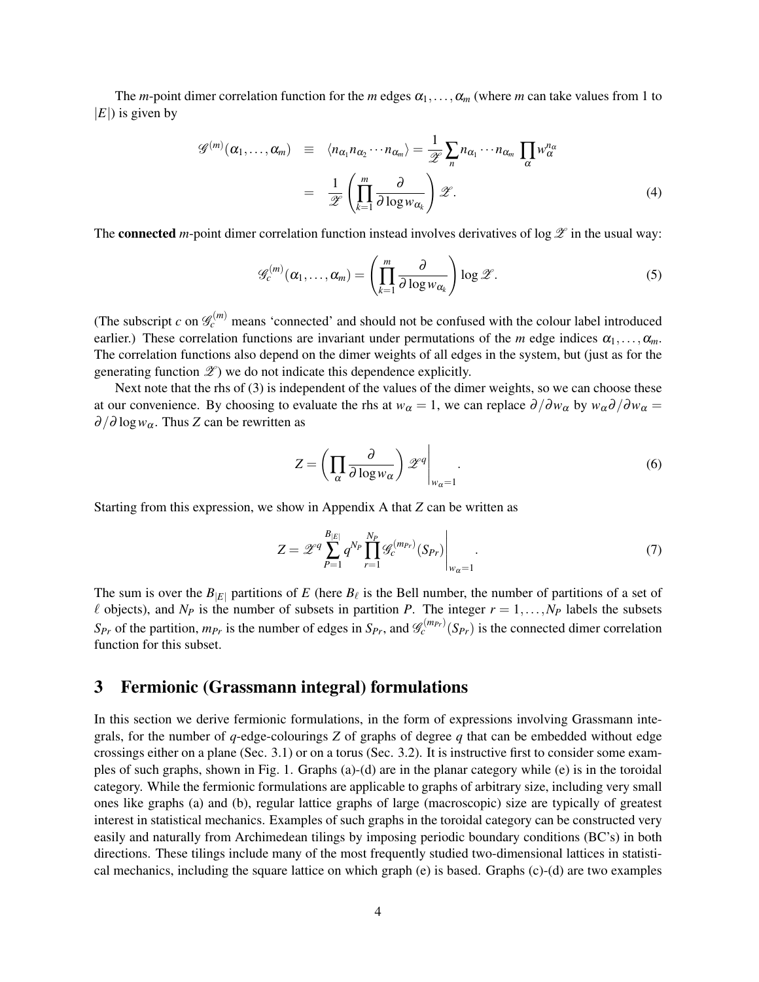The *m*-point dimer correlation function for the *m* edges  $\alpha_1, \ldots, \alpha_m$  (where *m* can take values from 1 to  $|E|$ ) is given by

$$
\mathcal{G}^{(m)}(\alpha_1, ..., \alpha_m) \equiv \langle n_{\alpha_1} n_{\alpha_2} \cdots n_{\alpha_m} \rangle = \frac{1}{\mathscr{Z}} \sum_n n_{\alpha_1} \cdots n_{\alpha_m} \prod_{\alpha} w_{\alpha}^{n_{\alpha}}
$$

$$
= \frac{1}{\mathscr{Z}} \left( \prod_{k=1}^m \frac{\partial}{\partial \log w_{\alpha_k}} \right) \mathscr{Z}.
$$
(4)

The **connected** *m*-point dimer correlation function instead involves derivatives of  $\log \mathscr{Z}$  in the usual way:

$$
\mathscr{G}_c^{(m)}(\alpha_1,\ldots,\alpha_m)=\left(\prod_{k=1}^m\frac{\partial}{\partial\log w_{\alpha_k}}\right)\log\mathscr{Z}.
$$
 (5)

(The subscript *c* on  $\mathcal{G}_c^{(m)}$  means 'connected' and should not be confused with the colour label introduced earlier.) These correlation functions are invariant under permutations of the *m* edge indices  $\alpha_1, \ldots, \alpha_m$ . The correlation functions also depend on the dimer weights of all edges in the system, but (just as for the generating function  $\mathscr{Z}$ ) we do not indicate this dependence explicitly.

Next note that the rhs of (3) is independent of the values of the dimer weights, so we can choose these at our convenience. By choosing to evaluate the rhs at *w*<sub>α</sub> = 1, we can replace  $\partial/\partial w_{\alpha}$  by  $w_{\alpha}\partial/\partial w_{\alpha}$  =  $\partial/\partial \log w_\alpha$ . Thus *Z* can be rewritten as

$$
Z = \left(\prod_{\alpha} \frac{\partial}{\partial \log w_{\alpha}}\right) \mathscr{Z}^{q} \Big|_{w_{\alpha}=1}.
$$
 (6)

Starting from this expression, we show in Appendix A that *Z* can be written as

$$
Z = \mathscr{Z}^q \sum_{P=1}^{B_{|E|}} q^{N_P} \prod_{r=1}^{N_P} \mathscr{G}_c^{(m_{Pr})} (S_{Pr}) \Big|_{w_{\alpha}=1}.
$$
 (7)

The sum is over the  $B_{|E|}$  partitions of *E* (here  $B_\ell$  is the Bell number, the number of partitions of a set of  $\ell$  objects), and  $N_p$  is the number of subsets in partition *P*. The integer  $r = 1, \ldots, N_p$  labels the subsets  $S_{Pr}$  of the partition,  $m_{Pr}$  is the number of edges in  $S_{Pr}$ , and  $\mathscr{G}_c^{(m_{Pr})}(S_{Pr})$  is the connected dimer correlation function for this subset.

## 3 Fermionic (Grassmann integral) formulations

In this section we derive fermionic formulations, in the form of expressions involving Grassmann integrals, for the number of  $q$ -edge-colourings  $Z$  of graphs of degree  $q$  that can be embedded without edge crossings either on a plane (Sec. 3.1) or on a torus (Sec. 3.2). It is instructive first to consider some examples of such graphs, shown in Fig. 1. Graphs (a)-(d) are in the planar category while (e) is in the toroidal category. While the fermionic formulations are applicable to graphs of arbitrary size, including very small ones like graphs (a) and (b), regular lattice graphs of large (macroscopic) size are typically of greatest interest in statistical mechanics. Examples of such graphs in the toroidal category can be constructed very easily and naturally from Archimedean tilings by imposing periodic boundary conditions (BC's) in both directions. These tilings include many of the most frequently studied two-dimensional lattices in statistical mechanics, including the square lattice on which graph (e) is based. Graphs (c)-(d) are two examples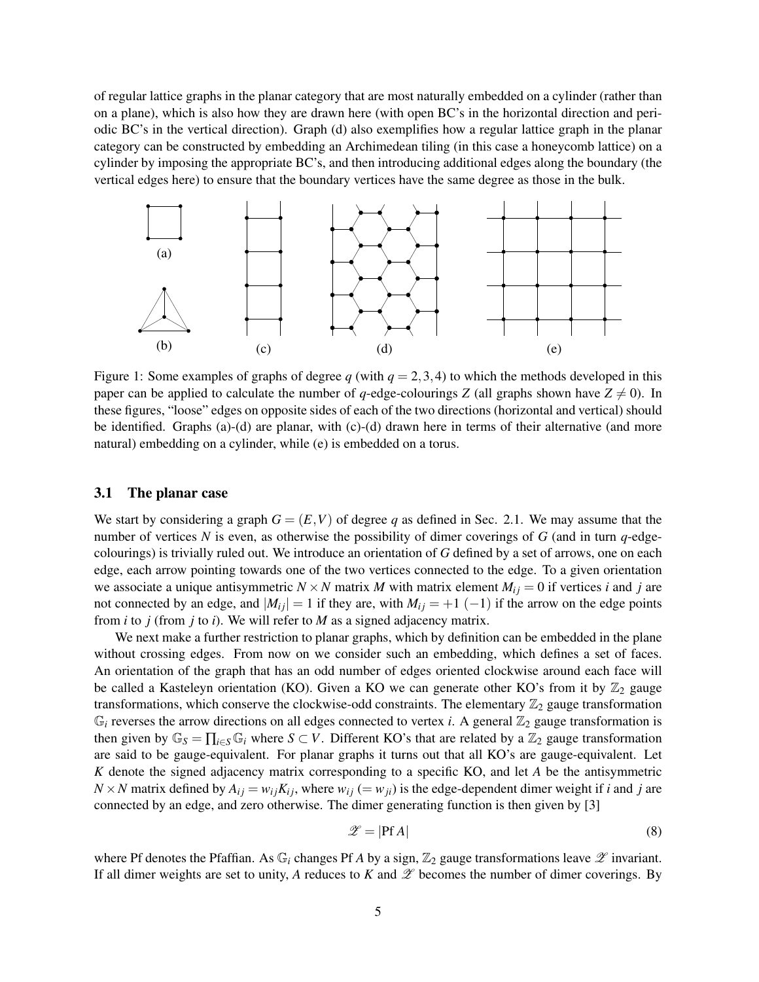of regular lattice graphs in the planar category that are most naturally embedded on a cylinder (rather than on a plane), which is also how they are drawn here (with open BC's in the horizontal direction and periodic BC's in the vertical direction). Graph (d) also exemplifies how a regular lattice graph in the planar category can be constructed by embedding an Archimedean tiling (in this case a honeycomb lattice) on a cylinder by imposing the appropriate BC's, and then introducing additional edges along the boundary (the vertical edges here) to ensure that the boundary vertices have the same degree as those in the bulk.



Figure 1: Some examples of graphs of degree  $q$  (with  $q = 2,3,4$ ) to which the methods developed in this paper can be applied to calculate the number of *q*-edge-colourings *Z* (all graphs shown have  $Z \neq 0$ ). In these figures, "loose" edges on opposite sides of each of the two directions (horizontal and vertical) should be identified. Graphs (a)-(d) are planar, with (c)-(d) drawn here in terms of their alternative (and more natural) embedding on a cylinder, while (e) is embedded on a torus.

#### 3.1 The planar case

We start by considering a graph  $G = (E, V)$  of degree q as defined in Sec. 2.1. We may assume that the number of vertices *N* is even, as otherwise the possibility of dimer coverings of *G* (and in turn *q*-edgecolourings) is trivially ruled out. We introduce an orientation of *G* defined by a set of arrows, one on each edge, each arrow pointing towards one of the two vertices connected to the edge. To a given orientation we associate a unique antisymmetric  $N \times N$  matrix *M* with matrix element  $M_{ij} = 0$  if vertices *i* and *j* are not connected by an edge, and  $|M_{ij}| = 1$  if they are, with  $M_{ij} = +1$  (-1) if the arrow on the edge points from *i* to *j* (from *j* to *i*). We will refer to *M* as a signed adjacency matrix.

We next make a further restriction to planar graphs, which by definition can be embedded in the plane without crossing edges. From now on we consider such an embedding, which defines a set of faces. An orientation of the graph that has an odd number of edges oriented clockwise around each face will be called a Kasteleyn orientation (KO). Given a KO we can generate other KO's from it by  $\mathbb{Z}_2$  gauge transformations, which conserve the clockwise-odd constraints. The elementary  $\mathbb{Z}_2$  gauge transformation  $\mathbb{G}_i$  reverses the arrow directions on all edges connected to vertex *i*. A general  $\mathbb{Z}_2$  gauge transformation is then given by  $\mathbb{G}_S = \prod_{i \in S} \mathbb{G}_i$  where  $S \subset V$ . Different KO's that are related by a  $\mathbb{Z}_2$  gauge transformation are said to be gauge-equivalent. For planar graphs it turns out that all KO's are gauge-equivalent. Let *K* denote the signed adjacency matrix corresponding to a specific KO, and let *A* be the antisymmetric  $N \times N$  matrix defined by  $A_{ij} = w_{ij} K_{ij}$ , where  $w_{ij} (= w_{ji})$  is the edge-dependent dimer weight if *i* and *j* are connected by an edge, and zero otherwise. The dimer generating function is then given by [3]

$$
\mathscr{Z} = |\mathbf{Pf} \, A| \tag{8}
$$

where Pf denotes the Pfaffian. As  $\mathbb{G}_i$  changes Pf *A* by a sign,  $\mathbb{Z}_2$  gauge transformations leave  $\mathscr X$  invariant. If all dimer weights are set to unity,  $A$  reduces to  $K$  and  $\mathscr Z$  becomes the number of dimer coverings. By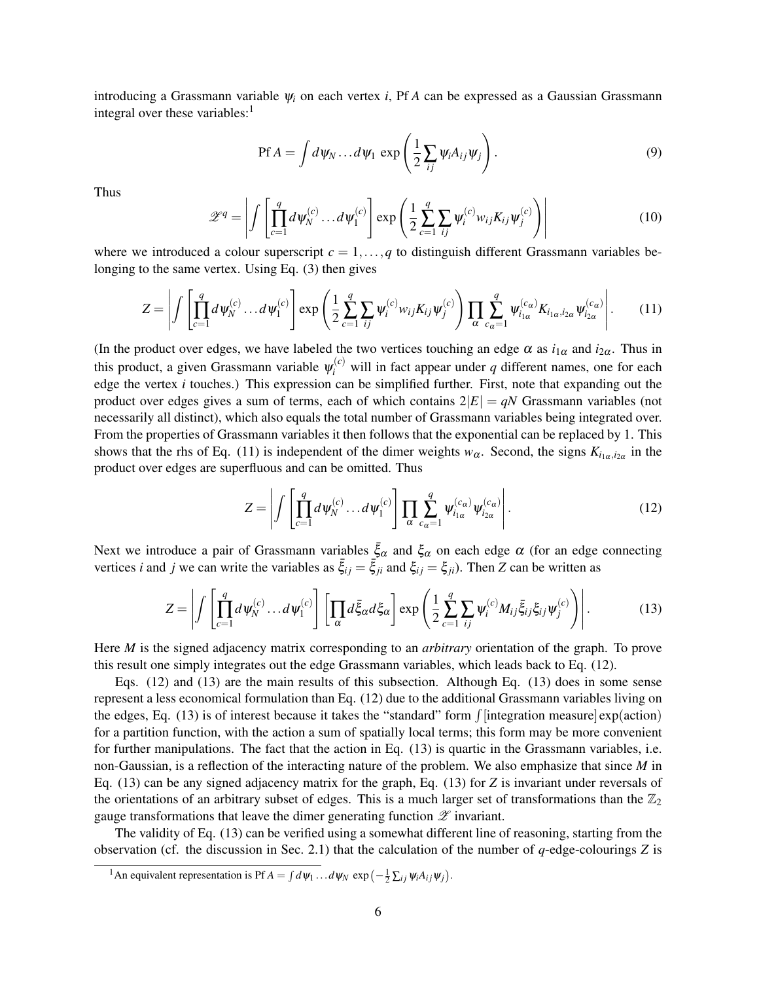introducing a Grassmann variable ψ*<sup>i</sup>* on each vertex *i*, Pf *A* can be expressed as a Gaussian Grassmann integral over these variables: $<sup>1</sup>$ </sup>

$$
\text{Pf } A = \int d\psi_N \dots d\psi_1 \, \exp\left(\frac{1}{2} \sum_{ij} \psi_i A_{ij} \psi_j\right). \tag{9}
$$

Thus

$$
\mathscr{Z}^q = \left| \int \left[ \prod_{c=1}^q d\psi_N^{(c)} \dots d\psi_1^{(c)} \right] \exp\left( \frac{1}{2} \sum_{c=1}^q \sum_{ij} \psi_i^{(c)} w_{ij} K_{ij} \psi_j^{(c)} \right) \right| \tag{10}
$$

where we introduced a colour superscript  $c = 1, \ldots, q$  to distinguish different Grassmann variables belonging to the same vertex. Using Eq. (3) then gives

$$
Z = \left| \int \left[ \prod_{c=1}^{q} d\psi_N^{(c)} \dots d\psi_1^{(c)} \right] \exp \left( \frac{1}{2} \sum_{c=1}^{q} \sum_{ij} \psi_i^{(c)} w_{ij} K_{ij} \psi_j^{(c)} \right) \prod_{\alpha} \sum_{c_{\alpha}=1}^{q} \psi_{i_{1\alpha}}^{(c_{\alpha})} K_{i_{1\alpha}, i_{2\alpha}} \psi_{i_{2\alpha}}^{(c_{\alpha})} \right|.
$$
 (11)

(In the product over edges, we have labeled the two vertices touching an edge  $\alpha$  as  $i_{1\alpha}$  and  $i_{2\alpha}$ . Thus in this product, a given Grassmann variable  $\psi_i^{(c)}$  will in fact appear under *q* different names, one for each edge the vertex *i* touches.) This expression can be simplified further. First, note that expanding out the product over edges gives a sum of terms, each of which contains  $2|E| = qN$  Grassmann variables (not necessarily all distinct), which also equals the total number of Grassmann variables being integrated over. From the properties of Grassmann variables it then follows that the exponential can be replaced by 1. This shows that the rhs of Eq. (11) is independent of the dimer weights  $w_\alpha$ . Second, the signs  $K_{i_{1\alpha},i_{2\alpha}}$  in the product over edges are superfluous and can be omitted. Thus

$$
Z = \left| \int \left[ \prod_{c=1}^{q} d\psi_N^{(c)} \dots d\psi_1^{(c)} \right] \prod_{\alpha} \sum_{c_{\alpha}=1}^{q} \psi_{i_{1\alpha}}^{(c_{\alpha})} \psi_{i_{2\alpha}}^{(c_{\alpha})} \right|.
$$
 (12)

Next we introduce a pair of Grassmann variables  $\bar{\xi}_{\alpha}$  and  $\xi_{\alpha}$  on each edge  $\alpha$  (for an edge connecting vertices *i* and *j* we can write the variables as  $\bar{\xi}_{ij} = \bar{\xi}_{ji}$  and  $\xi_{ij} = \xi_{ji}$ ). Then *Z* can be written as

$$
Z = \left| \int \left[ \prod_{c=1}^{q} d\psi_N^{(c)} \dots d\psi_1^{(c)} \right] \left[ \prod_{\alpha} d\bar{\xi}_{\alpha} d\xi_{\alpha} \right] \exp \left( \frac{1}{2} \sum_{c=1}^{q} \sum_{ij} \psi_i^{(c)} M_{ij} \bar{\xi}_{ij} \xi_{ij} \psi_j^{(c)} \right) \right|.
$$
 (13)

Here *M* is the signed adjacency matrix corresponding to an *arbitrary* orientation of the graph. To prove this result one simply integrates out the edge Grassmann variables, which leads back to Eq. (12).

Eqs. (12) and (13) are the main results of this subsection. Although Eq. (13) does in some sense represent a less economical formulation than Eq. (12) due to the additional Grassmann variables living on the edges, Eq. (13) is of interest because it takes the "standard" form  $\int$ [integration measure] exp(action) for a partition function, with the action a sum of spatially local terms; this form may be more convenient for further manipulations. The fact that the action in Eq. (13) is quartic in the Grassmann variables, i.e. non-Gaussian, is a reflection of the interacting nature of the problem. We also emphasize that since *M* in Eq. (13) can be any signed adjacency matrix for the graph, Eq. (13) for *Z* is invariant under reversals of the orientations of an arbitrary subset of edges. This is a much larger set of transformations than the  $\mathbb{Z}_2$ gauge transformations that leave the dimer generating function  $\mathscr X$  invariant.

The validity of Eq. (13) can be verified using a somewhat different line of reasoning, starting from the observation (cf. the discussion in Sec. 2.1) that the calculation of the number of *q*-edge-colourings *Z* is

<sup>&</sup>lt;sup>1</sup>An equivalent representation is Pf  $A = \int d\psi_1 \dots d\psi_N \exp(-\frac{1}{2} \sum_{ij} \psi_i A_{ij} \psi_j)$ .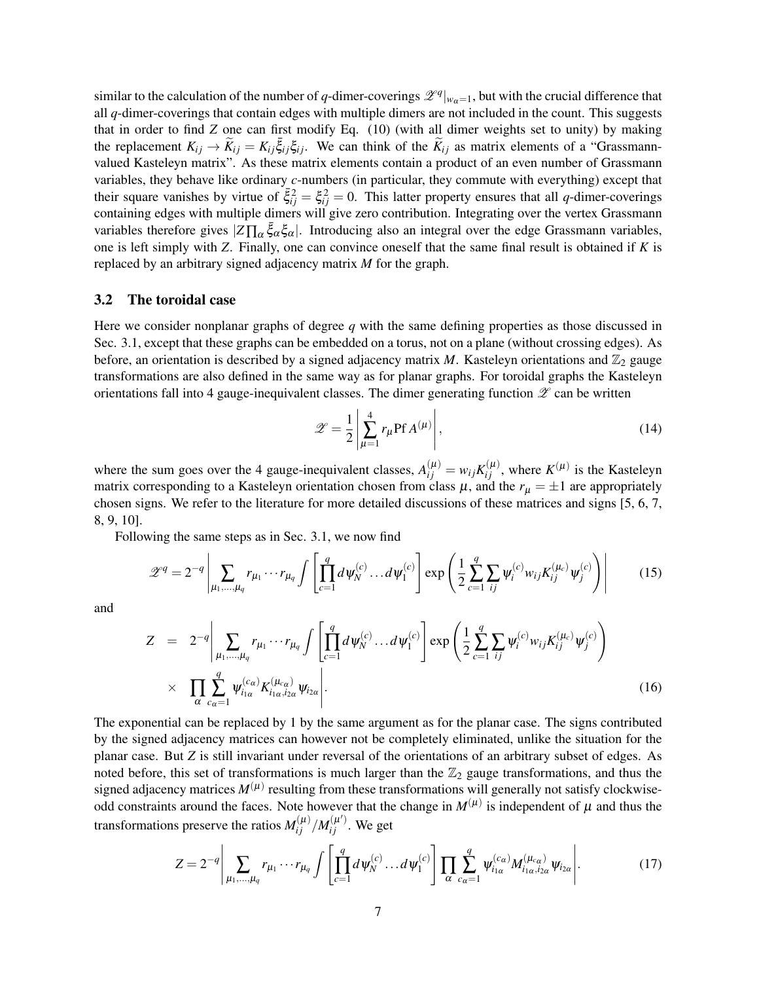similar to the calculation of the number of *q*-dimer-coverings  $\mathscr{Z}^q|_{w_\alpha=1}$ , but with the crucial difference that all *q*-dimer-coverings that contain edges with multiple dimers are not included in the count. This suggests that in order to find *Z* one can first modify Eq. (10) (with all dimer weights set to unity) by making the replacement  $K_{ij} \to \widetilde{K}_{ij} = K_{ij} \overline{\xi}_{ij} \xi_{ij}$ . We can think of the  $\widetilde{K}_{ij}$  as matrix elements of a "Grassmannvalued Kasteleyn matrix". As these matrix elements contain a product of an even number of Grassmann variables, they behave like ordinary *c*-numbers (in particular, they commute with everything) except that their square vanishes by virtue of  $\bar{\xi}_{ij}^2 = \xi_{ij}^2 = 0$ . This latter property ensures that all *q*-dimer-coverings containing edges with multiple dimers will give zero contribution. Integrating over the vertex Grassmann variables therefore gives  $|Z\Pi_{\alpha} \bar{\xi}_{\alpha} \xi_{\alpha}|$ . Introducing also an integral over the edge Grassmann variables, one is left simply with *Z*. Finally, one can convince oneself that the same final result is obtained if *K* is replaced by an arbitrary signed adjacency matrix *M* for the graph.

#### 3.2 The toroidal case

Here we consider nonplanar graphs of degree *q* with the same defining properties as those discussed in Sec. 3.1, except that these graphs can be embedded on a torus, not on a plane (without crossing edges). As before, an orientation is described by a signed adjacency matrix  $M$ . Kasteleyn orientations and  $\mathbb{Z}_2$  gauge transformations are also defined in the same way as for planar graphs. For toroidal graphs the Kasteleyn orientations fall into 4 gauge-inequivalent classes. The dimer generating function  $\mathscr Z$  can be written

$$
\mathscr{Z} = \frac{1}{2} \left| \sum_{\mu=1}^{4} r_{\mu} \mathbf{P} \mathbf{f} A^{(\mu)} \right|, \tag{14}
$$

where the sum goes over the 4 gauge-inequivalent classes,  $A_{ij}^{(\mu)} = w_{ij} K_{ij}^{(\mu)}$ , where  $K^{(\mu)}$  is the Kasteleyn matrix corresponding to a Kasteleyn orientation chosen from class  $\mu$ , and the  $r_{\mu} = \pm 1$  are appropriately chosen signs. We refer to the literature for more detailed discussions of these matrices and signs [5, 6, 7, 8, 9, 10].

Following the same steps as in Sec. 3.1, we now find

$$
\mathscr{Z}^{q} = 2^{-q} \left| \sum_{\mu_{1}, \dots, \mu_{q}} r_{\mu_{1}} \cdots r_{\mu_{q}} \int \left[ \prod_{c=1}^{q} d \psi_{N}^{(c)} \dots d \psi_{1}^{(c)} \right] \exp \left( \frac{1}{2} \sum_{c=1}^{q} \sum_{ij} \psi_{i}^{(c)} w_{ij} K_{ij}^{(\mu_{c})} \psi_{j}^{(c)} \right) \right| \tag{15}
$$

and

$$
Z = 2^{-q} \left| \sum_{\mu_1, ..., \mu_q} r_{\mu_1} \cdots r_{\mu_q} \int \left[ \prod_{c=1}^q d\psi_N^{(c)} \cdots d\psi_1^{(c)} \right] \exp \left( \frac{1}{2} \sum_{c=1}^q \sum_{ij} \psi_i^{(c)} w_{ij} K_{ij}^{(\mu_c)} \psi_j^{(c)} \right) \right|
$$
  
 
$$
\times \prod_{\alpha} \sum_{c_{\alpha}=1}^q \psi_{i_{1\alpha}}^{(c_{\alpha})} K_{i_{1\alpha}, i_{2\alpha}}^{(\mu_{c\alpha})} \psi_{i_{2\alpha}} \right|.
$$
 (16)

The exponential can be replaced by 1 by the same argument as for the planar case. The signs contributed by the signed adjacency matrices can however not be completely eliminated, unlike the situation for the planar case. But *Z* is still invariant under reversal of the orientations of an arbitrary subset of edges. As noted before, this set of transformations is much larger than the  $\mathbb{Z}_2$  gauge transformations, and thus the signed adjacency matrices  $M^{(\mu)}$  resulting from these transformations will generally not satisfy clockwiseodd constraints around the faces. Note however that the change in  $M^{(\mu)}$  is independent of  $\mu$  and thus the transformations preserve the ratios  $M_{ij}^{(\mu)}/M_{ij}^{(\mu')}$ . We get

$$
Z = 2^{-q} \left| \sum_{\mu_1, ..., \mu_q} r_{\mu_1} \cdots r_{\mu_q} \int \left[ \prod_{c=1}^q d\psi_N^{(c)} \cdots d\psi_1^{(c)} \right] \prod_{\alpha} \sum_{c_{\alpha}=1}^q \psi_{i_{1\alpha}}^{(c_{\alpha})} M_{i_{1\alpha}, i_{2\alpha}}^{(\mu_{c\alpha})} \psi_{i_{2\alpha}} \right].
$$
 (17)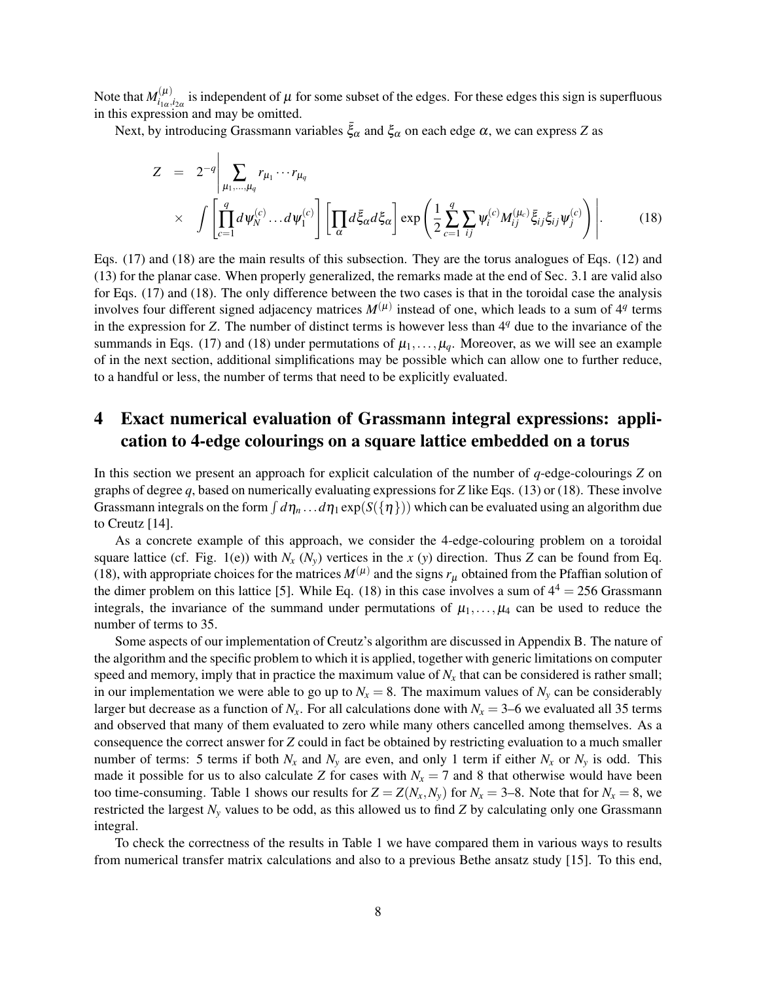Note that  $M^{(\mu)}_{i_{\rm max}}$  $\int_{i_{1\alpha},i_{2\alpha}}^{(\mu)}$  is independent of  $\mu$  for some subset of the edges. For these edges this sign is superfluous in this expression and may be omitted.

Next, by introducing Grassmann variables  $\bar{\xi}_{\alpha}$  and  $\xi_{\alpha}$  on each edge  $\alpha$ , we can express *Z* as

$$
Z = 2^{-q} \left| \sum_{\mu_1, ..., \mu_q} r_{\mu_1} \cdots r_{\mu_q} \right|
$$
  
 
$$
\times \int \left[ \prod_{c=1}^q d\psi_N^{(c)} \cdots d\psi_1^{(c)} \right] \left[ \prod_{\alpha} d\bar{\xi}_{\alpha} d\xi_{\alpha} \right] \exp \left( \frac{1}{2} \sum_{c=1}^q \sum_{ij} \psi_i^{(c)} M_{ij}^{(\mu_c)} \bar{\xi}_{ij} \xi_{ij} \psi_j^{(c)} \right) \right|.
$$
 (18)

Eqs. (17) and (18) are the main results of this subsection. They are the torus analogues of Eqs. (12) and (13) for the planar case. When properly generalized, the remarks made at the end of Sec. 3.1 are valid also for Eqs. (17) and (18). The only difference between the two cases is that in the toroidal case the analysis involves four different signed adjacency matrices  $M^{(\mu)}$  instead of one, which leads to a sum of 4<sup>*q*</sup> terms in the expression for *Z*. The number of distinct terms is however less than 4<sup>*q*</sup> due to the invariance of the summands in Eqs. (17) and (18) under permutations of  $\mu_1, \ldots, \mu_q$ . Moreover, as we will see an example of in the next section, additional simplifications may be possible which can allow one to further reduce, to a handful or less, the number of terms that need to be explicitly evaluated.

# 4 Exact numerical evaluation of Grassmann integral expressions: application to 4-edge colourings on a square lattice embedded on a torus

In this section we present an approach for explicit calculation of the number of *q*-edge-colourings *Z* on graphs of degree *q*, based on numerically evaluating expressions for *Z* like Eqs. (13) or (18). These involve Grassmann integrals on the form  $\int d\eta_n \dots d\eta_1 \exp(S(\{\eta\}))$  which can be evaluated using an algorithm due to Creutz [14].

As a concrete example of this approach, we consider the 4-edge-colouring problem on a toroidal square lattice (cf. Fig. 1(e)) with  $N_x$  ( $N_y$ ) vertices in the *x* (*y*) direction. Thus *Z* can be found from Eq. (18), with appropriate choices for the matrices  $M^{(\mu)}$  and the signs  $r_\mu$  obtained from the Pfaffian solution of the dimer problem on this lattice [5]. While Eq. (18) in this case involves a sum of  $4^4 = 256$  Grassmann integrals, the invariance of the summand under permutations of  $\mu_1, \ldots, \mu_4$  can be used to reduce the number of terms to 35.

Some aspects of our implementation of Creutz's algorithm are discussed in Appendix B. The nature of the algorithm and the specific problem to which it is applied, together with generic limitations on computer speed and memory, imply that in practice the maximum value of  $N<sub>x</sub>$  that can be considered is rather small; in our implementation we were able to go up to  $N_x = 8$ . The maximum values of  $N_y$  can be considerably larger but decrease as a function of  $N_x$ . For all calculations done with  $N_x = 3-6$  we evaluated all 35 terms and observed that many of them evaluated to zero while many others cancelled among themselves. As a consequence the correct answer for *Z* could in fact be obtained by restricting evaluation to a much smaller number of terms: 5 terms if both  $N_x$  and  $N_y$  are even, and only 1 term if either  $N_x$  or  $N_y$  is odd. This made it possible for us to also calculate *Z* for cases with  $N_x = 7$  and 8 that otherwise would have been too time-consuming. Table 1 shows our results for  $Z = Z(N_x, N_y)$  for  $N_x = 3-8$ . Note that for  $N_x = 8$ , we restricted the largest  $N<sub>y</sub>$  values to be odd, as this allowed us to find *Z* by calculating only one Grassmann integral.

To check the correctness of the results in Table 1 we have compared them in various ways to results from numerical transfer matrix calculations and also to a previous Bethe ansatz study [15]. To this end,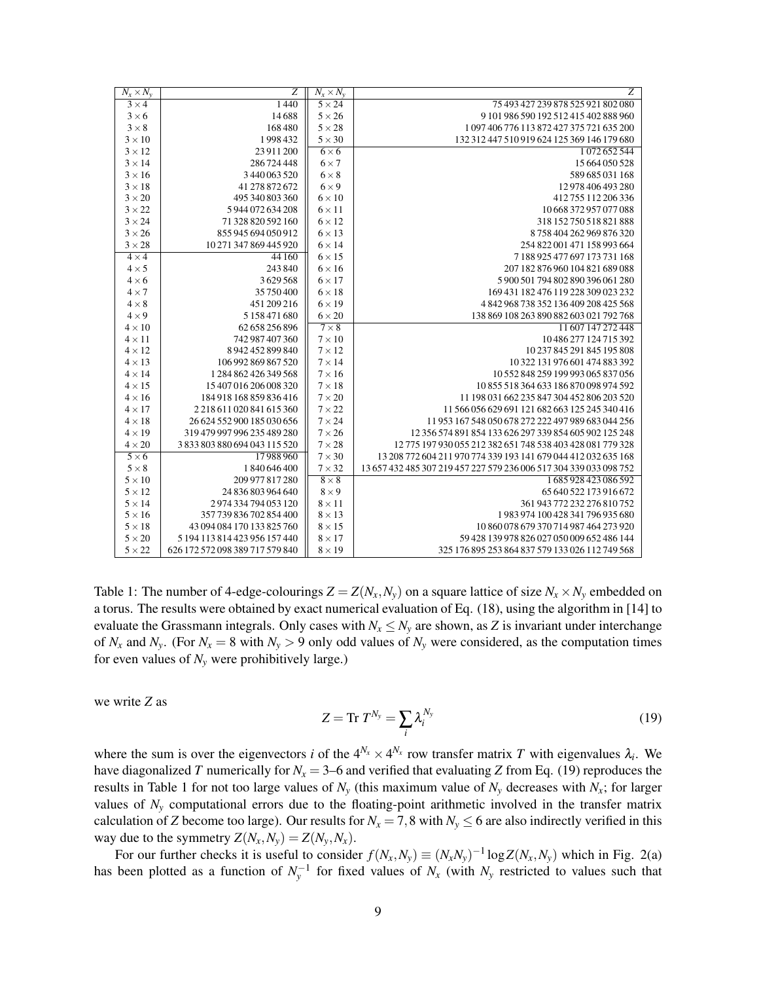| $N_x \times N_y$ | Ζ                               | $\overline{N}_x \times N_y$ | Z                                                                  |
|------------------|---------------------------------|-----------------------------|--------------------------------------------------------------------|
| $3 \times 4$     | 1440                            | $5 \times 24$               | 75 493 427 239 878 525 921 802 080                                 |
| $3 \times 6$     | 14688                           | $5 \times 26$               | 9 101 986 590 192 512 415 402 888 960                              |
| $3 \times 8$     | 168480                          | $5 \times 28$               | 1097406776113872427375721635200                                    |
| $3 \times 10$    | 1998432                         | $5 \times 30$               | 132 312 447 510 919 624 125 369 146 179 680                        |
| $3 \times 12$    | 23 911 200                      | $6 \times 6$                | 1072652544                                                         |
| $3 \times 14$    | 286 724 448                     | $6 \times 7$                | 15 664 050 528                                                     |
| $3 \times 16$    | 3440063520                      | $6 \times 8$                | 589 685 031 168                                                    |
| $3 \times 18$    | 41 278 872 672                  | $6 \times 9$                | 12 978 406 493 280                                                 |
| $3 \times 20$    | 495 340 803 360                 | $6 \times 10$               | 412 755 112 206 336                                                |
| $3 \times 22$    | 5944072634208                   | $6 \times 11$               | 10 668 372 957 077 088                                             |
| $3 \times 24$    | 71 328 820 592 160              | $6 \times 12$               | 318 152 750 518 821 888                                            |
| $3 \times 26$    | 855 945 694 050 912             | $6 \times 13$               | 8758404262969876320                                                |
| $3 \times 28$    | 10 271 347 869 445 920          | $6 \times 14$               | 254 822 001 471 158 993 664                                        |
| $4 \times 4$     | 44 160                          | $6 \times 15$               | 7188925477697173731168                                             |
| $4 \times 5$     | 243 840                         | $6 \times 16$               | 207 182 876 960 104 821 689 088                                    |
| $4 \times 6$     | 3629568                         | $6 \times 17$               | 5900501794802890396061280                                          |
| $4 \times 7$     | 35 750 400                      | $6 \times 18$               | 169 431 182 476 119 228 309 023 232                                |
| $4 \times 8$     | 451 209 216                     | $6 \times 19$               | 4842968738352136409208425568                                       |
| $4 \times 9$     | 5158471680                      | $6 \times 20$               | 138 869 108 263 890 882 603 021 792 768                            |
| $4 \times 10$    | 62 658 256 896                  | $7 \times 8$                | 11 607 147 272 448                                                 |
| $4 \times 11$    | 742 987 407 360                 | $7 \times 10$               | 10 486 277 124 715 392                                             |
| $4 \times 12$    | 8942452899840                   | $7 \times 12$               | 10 237 845 291 845 195 808                                         |
| $4\times13$      | 106 992 869 867 520             | $7 \times 14$               | 10 322 131 976 601 474 883 392                                     |
| $4 \times 14$    | 1 284 862 426 349 568           | $7 \times 16$               | 10 552 848 259 199 993 065 837 056                                 |
| $4 \times 15$    | 15 407 016 206 008 320          | $7 \times 18$               | 10855 518 364 633 186 870 098 974 592                              |
| $4 \times 16$    | 184 918 168 859 836 416         | $7 \times 20$               | 11 198 031 662 235 847 304 452 806 203 520                         |
| $4 \times 17$    | 2218 611 020 841 615 360        | $7 \times 22$               | 11 566 056 629 691 121 682 663 125 245 340 416                     |
| $4 \times 18$    | 26 624 552 900 185 030 656      | $7 \times 24$               | 11 953 167 548 050 678 272 222 497 989 683 044 256                 |
| $4 \times 19$    | 319 479 997 996 235 489 280     | $7 \times 26$               | 12 356 574 891 854 133 626 297 339 854 605 902 125 248             |
| $4 \times 20$    | 3833803880694043115520          | $7 \times 28$               | 12 775 197 930 055 212 382 651 748 538 403 428 081 779 328         |
| $5 \times 6$     | 17988960                        | $7 \times 30$               | 13 208 772 604 211 970 774 339 193 141 679 044 412 032 635 168     |
| $5 \times 8$     | 1840646400                      | $7 \times 32$               | 13 657 432 485 307 219 457 227 579 236 006 517 304 339 033 098 752 |
| $5 \times 10$    | 209 977 817 280                 | $8\times8$                  | 1685928423086592                                                   |
| $5 \times 12$    | 24 836 803 964 640              | $8 \times 9$                | 65 640 522 173 916 672                                             |
| $5 \times 14$    | 2974334794053120                | $8 \times 11$               | 361 943 772 232 276 810 752                                        |
| $5 \times 16$    | 357 739 836 702 854 400         | $8 \times 13$               | 1983974100428341796935680                                          |
| $5 \times 18$    | 43 094 084 170 133 825 760      | $8 \times 15$               | 10 860 078 679 370 714 987 464 273 920                             |
| $5 \times 20$    | 5 194 113 814 423 956 157 440   | $8 \times 17$               | 59 428 139 978 826 027 050 009 652 486 144                         |
| $5 \times 22$    | 626 172 572 098 389 717 579 840 | $8 \times 19$               | 325 176 895 253 864 837 579 133 026 112 749 568                    |

Table 1: The number of 4-edge-colourings  $Z = Z(N_x, N_y)$  on a square lattice of size  $N_x \times N_y$  embedded on a torus. The results were obtained by exact numerical evaluation of Eq. (18), using the algorithm in [14] to evaluate the Grassmann integrals. Only cases with  $N_x \leq N_y$  are shown, as *Z* is invariant under interchange of  $N_x$  and  $N_y$ . (For  $N_x = 8$  with  $N_y > 9$  only odd values of  $N_y$  were considered, as the computation times for even values of  $N_y$  were prohibitively large.)

we write *Z* as

$$
Z = \text{Tr } T^{N_y} = \sum_i \lambda_i^{N_y} \tag{19}
$$

where the sum is over the eigenvectors *i* of the  $4^{N_x} \times 4^{N_x}$  row transfer matrix *T* with eigenvalues  $\lambda_i$ . We have diagonalized *T* numerically for  $N_x = 3-6$  and verified that evaluating *Z* from Eq. (19) reproduces the results in Table 1 for not too large values of  $N<sub>y</sub>$  (this maximum value of  $N<sub>y</sub>$  decreases with  $N<sub>x</sub>$ ; for larger values of  $N<sub>y</sub>$  computational errors due to the floating-point arithmetic involved in the transfer matrix calculation of *Z* become too large). Our results for  $N_x = 7,8$  with  $N_y \le 6$  are also indirectly verified in this way due to the symmetry  $Z(N_x, N_y) = Z(N_y, N_x)$ .

For our further checks it is useful to consider  $f(N_x, N_y) \equiv (N_x N_y)^{-1} \log Z(N_x, N_y)$  which in Fig. 2(a) has been plotted as a function of  $N_y^{-1}$  for fixed values of  $N_x$  (with  $N_y$  restricted to values such that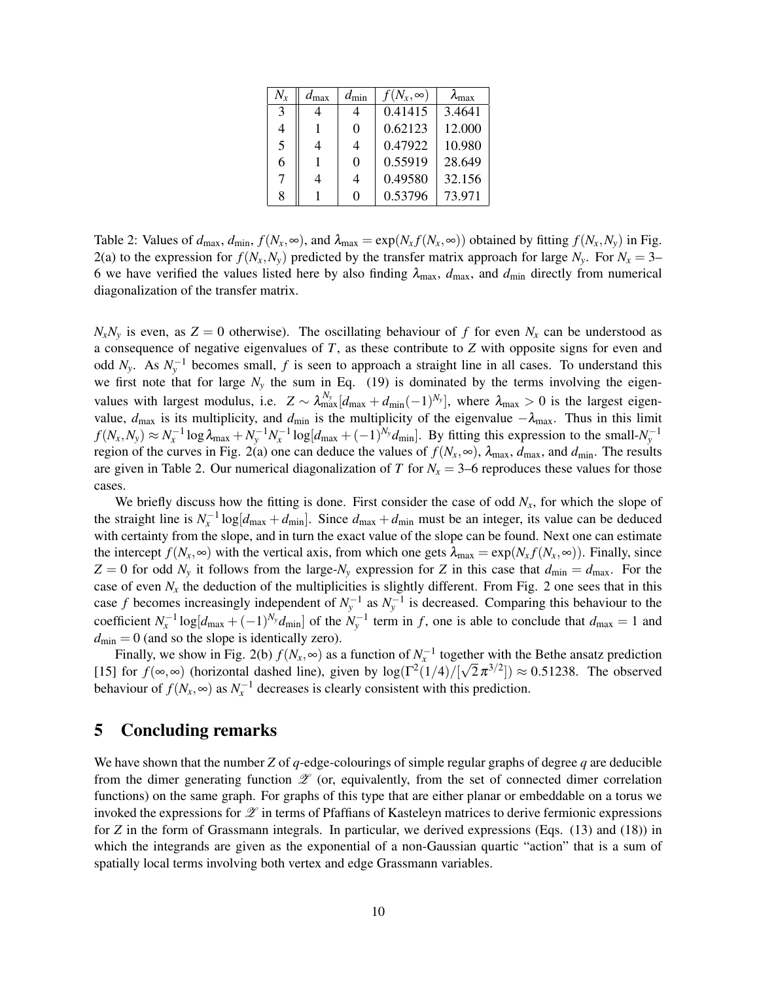| $N_{x}$ | $d_{\text{max}}$ | $d_{\min}$ | $f(N_x,\infty)$ | $\lambda_{\rm max}$ |
|---------|------------------|------------|-----------------|---------------------|
| 3       |                  | 4          | 0.41415         | 3.4641              |
| 4       |                  | 0          | 0.62123         | 12.000              |
| 5       | 4                | 4          | 0.47922         | 10.980              |
| 6       | 1                | 0          | 0.55919         | 28.649              |
| 7       | 4                | 4          | 0.49580         | 32.156              |
| 8       |                  | 0          | 0.53796         | 73.971              |

Table 2: Values of  $d_{\text{max}}$ ,  $d_{\text{min}}$ ,  $f(N_x, \infty)$ , and  $\lambda_{\text{max}} = \exp(N_x f(N_x, \infty))$  obtained by fitting  $f(N_x, N_y)$  in Fig. 2(a) to the expression for  $f(N_x, N_y)$  predicted by the transfer matrix approach for large  $N_y$ . For  $N_x = 3-$ 6 we have verified the values listed here by also finding  $\lambda_{\text{max}}$ ,  $d_{\text{max}}$ , and  $d_{\text{min}}$  directly from numerical diagonalization of the transfer matrix.

 $N_xN_y$  is even, as  $Z = 0$  otherwise). The oscillating behaviour of *f* for even  $N_x$  can be understood as a consequence of negative eigenvalues of *T*, as these contribute to *Z* with opposite signs for even and odd  $N_y$ . As  $N_y^{-1}$  becomes small,  $f$  is seen to approach a straight line in all cases. To understand this we first note that for large  $N_y$  the sum in Eq. (19) is dominated by the terms involving the eigenvalues with largest modulus, i.e.  $Z \sim \lambda_{\max}^{N_y} [d_{\max} + d_{\min}(-1)^{N_y}]$ , where  $\lambda_{\max} > 0$  is the largest eigenvalue,  $d_{\text{max}}$  is its multiplicity, and  $d_{\text{min}}$  is the multiplicity of the eigenvalue  $-\lambda_{\text{max}}$ . Thus in this limit  $f(N_x, N_y) \approx N_x^{-1} \log \lambda_{\text{max}} + N_y^{-1} N_x^{-1} \log [d_{\text{max}} + (-1)^{N_y} d_{\text{min}}]$ . By fitting this expression to the small- $N_y^{-1}$ region of the curves in Fig. 2(a) one can deduce the values of  $f(N_x, \infty)$ ,  $\lambda_{\text{max}}$ ,  $d_{\text{max}}$ , and  $d_{\text{min}}$ . The results are given in Table 2. Our numerical diagonalization of *T* for  $N_x = 3-6$  reproduces these values for those cases.

We briefly discuss how the fitting is done. First consider the case of odd  $N<sub>x</sub>$ , for which the slope of the straight line is  $N_x^{-1} \log[d_{\text{max}} + d_{\text{min}}]$ . Since  $d_{\text{max}} + d_{\text{min}}$  must be an integer, its value can be deduced with certainty from the slope, and in turn the exact value of the slope can be found. Next one can estimate the intercept  $f(N_x, \infty)$  with the vertical axis, from which one gets  $\lambda_{\text{max}} = \exp(N_x f(N_x, \infty))$ . Finally, since  $Z = 0$  for odd  $N_y$  it follows from the large- $N_y$  expression for *Z* in this case that  $d_{\min} = d_{\max}$ . For the case of even  $N<sub>x</sub>$  the deduction of the multiplicities is slightly different. From Fig. 2 one sees that in this case *f* becomes increasingly independent of  $N_y^{-1}$  as  $N_y^{-1}$  is decreased. Comparing this behaviour to the coefficient  $N_x^{-1} \log [d_{\max} + (-1)^{N_y} d_{\min}]$  of the  $N_y^{-1}$  term in *f*, one is able to conclude that  $d_{\max} = 1$  and  $d_{\text{min}} = 0$  (and so the slope is identically zero).

Finally, we show in Fig. 2(b)  $f(N_x, \infty)$  as a function of  $N_x^{-1}$  together with the Bethe ansatz prediction [15] for  $f(\infty, \infty)$  (horizontal dashed line), given by  $\log(\Gamma^2(1/4)/[\sqrt{2}\pi^{3/2}]) \approx 0.51238$ . The observed behaviour of  $f(N_x, \infty)$  as  $N_x^{-1}$  decreases is clearly consistent with this prediction.

## 5 Concluding remarks

We have shown that the number *Z* of *q*-edge-colourings of simple regular graphs of degree *q* are deducible from the dimer generating function  $\mathscr Z$  (or, equivalently, from the set of connected dimer correlation functions) on the same graph. For graphs of this type that are either planar or embeddable on a torus we invoked the expressions for  $\mathscr Z$  in terms of Pfaffians of Kasteleyn matrices to derive fermionic expressions for *Z* in the form of Grassmann integrals. In particular, we derived expressions (Eqs. (13) and (18)) in which the integrands are given as the exponential of a non-Gaussian quartic "action" that is a sum of spatially local terms involving both vertex and edge Grassmann variables.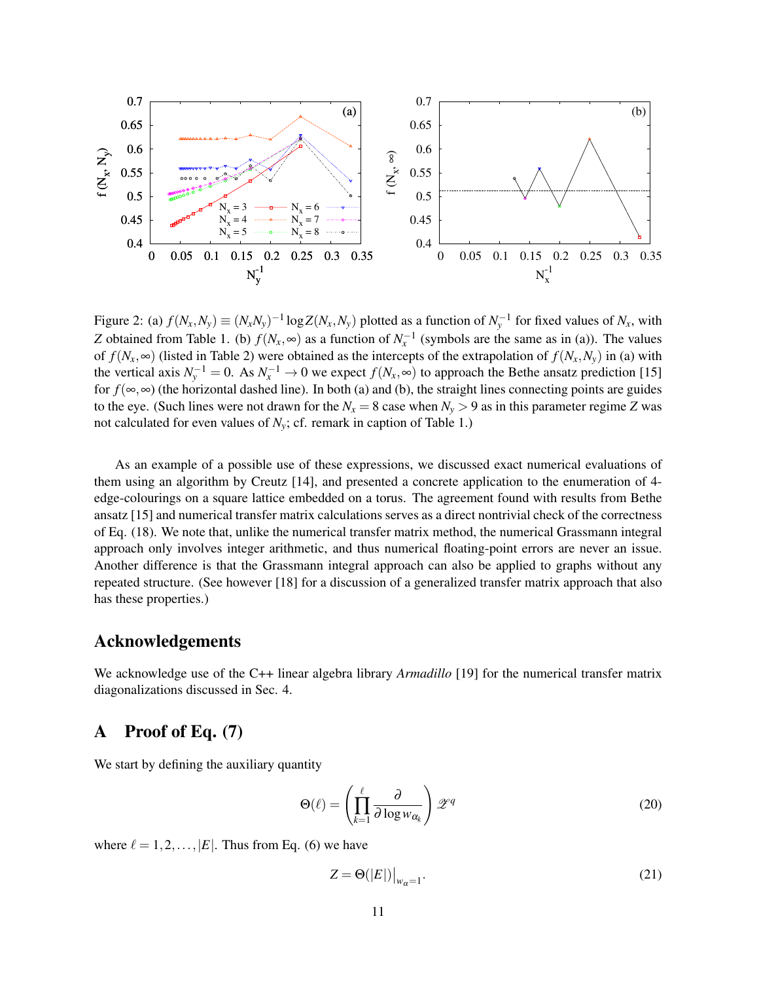

Figure 2: (a)  $f(N_x, N_y) \equiv (N_x N_y)^{-1} \log Z(N_x, N_y)$  plotted as a function of  $N_y^{-1}$  for fixed values of  $N_x$ , with *Z* obtained from Table 1. (b)  $f(N_x, \infty)$  as a function of  $N_x^{-1}$  (symbols are the same as in (a)). The values of  $f(N_x, \infty)$  (listed in Table 2) were obtained as the intercepts of the extrapolation of  $f(N_x, N_y)$  in (a) with the vertical axis  $N_y^{-1} = 0$ . As  $N_x^{-1} \to 0$  we expect  $f(N_x, \infty)$  to approach the Bethe ansatz prediction [15] for  $f(\infty, \infty)$  (the horizontal dashed line). In both (a) and (b), the straight lines connecting points are guides to the eye. (Such lines were not drawn for the  $N_x = 8$  case when  $N_y > 9$  as in this parameter regime *Z* was not calculated for even values of  $N_v$ ; cf. remark in caption of Table 1.)

As an example of a possible use of these expressions, we discussed exact numerical evaluations of them using an algorithm by Creutz [14], and presented a concrete application to the enumeration of 4 edge-colourings on a square lattice embedded on a torus. The agreement found with results from Bethe ansatz [15] and numerical transfer matrix calculations serves as a direct nontrivial check of the correctness of Eq. (18). We note that, unlike the numerical transfer matrix method, the numerical Grassmann integral approach only involves integer arithmetic, and thus numerical floating-point errors are never an issue. Another difference is that the Grassmann integral approach can also be applied to graphs without any repeated structure. (See however [18] for a discussion of a generalized transfer matrix approach that also has these properties.)

# Acknowledgements

We acknowledge use of the C++ linear algebra library *Armadillo* [19] for the numerical transfer matrix diagonalizations discussed in Sec. 4.

# A Proof of Eq. (7)

We start by defining the auxiliary quantity

$$
\Theta(\ell) = \left(\prod_{k=1}^{\ell} \frac{\partial}{\partial \log w_{\alpha_k}}\right) \mathscr{Z}^q \tag{20}
$$

where  $\ell = 1, 2, \ldots, |E|$ . Thus from Eq. (6) we have

$$
Z = \Theta(|E|)\big|_{w_{\alpha}=1}.\tag{21}
$$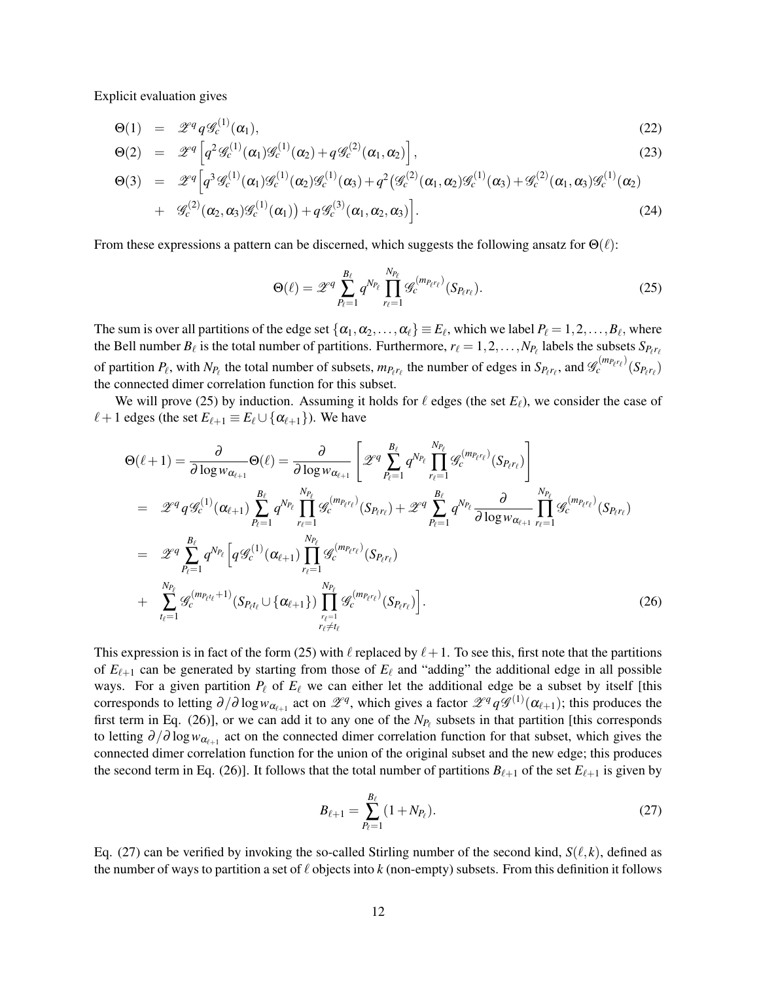Explicit evaluation gives

$$
\Theta(1) = \mathscr{Z}^q q \mathscr{G}_c^{(1)}(\alpha_1), \tag{22}
$$

$$
\Theta(2) = \mathscr{Z}^q \left[ q^2 \mathscr{G}_c^{(1)}(\alpha_1) \mathscr{G}_c^{(1)}(\alpha_2) + q \mathscr{G}_c^{(2)}(\alpha_1, \alpha_2) \right],\tag{23}
$$

$$
\Theta(3) = \mathscr{Z}^{q} \Big[ q^{3} \mathscr{G}_{c}^{(1)}(\alpha_{1}) \mathscr{G}_{c}^{(1)}(\alpha_{2}) \mathscr{G}_{c}^{(1)}(\alpha_{3}) + q^{2} \big( \mathscr{G}_{c}^{(2)}(\alpha_{1}, \alpha_{2}) \mathscr{G}_{c}^{(1)}(\alpha_{3}) + \mathscr{G}_{c}^{(2)}(\alpha_{1}, \alpha_{3}) \mathscr{G}_{c}^{(1)}(\alpha_{2}) + \mathscr{G}_{c}^{(2)}(\alpha_{2}, \alpha_{3}) \mathscr{G}_{c}^{(1)}(\alpha_{1}) \big) + q \mathscr{G}_{c}^{(3)}(\alpha_{1}, \alpha_{2}, \alpha_{3}) \Big].
$$
\n(24)

From these expressions a pattern can be discerned, which suggests the following ansatz for  $\Theta(\ell)$ :

$$
\Theta(\ell) = \mathscr{Z}^q \sum_{P_\ell=1}^{B_\ell} q^{N_{P_\ell}} \prod_{r_\ell=1}^{N_{P_\ell}} \mathscr{G}_c^{(m_{P_\ell r_\ell})} (S_{P_\ell r_\ell}). \tag{25}
$$

The sum is over all partitions of the edge set  $\{\alpha_1, \alpha_2, \dots, \alpha_\ell\} \equiv E_\ell$ , which we label  $P_\ell = 1, 2, \dots, B_\ell$ , where the Bell number  $B_\ell$  is the total number of partitions. Furthermore,  $r_\ell = 1, 2, ..., N_{P_\ell}$  labels the subsets  $S_{P_\ell r_\ell}$ of partition  $P_\ell$ , with  $N_{P_\ell}$  the total number of subsets,  $m_{P_\ell r_\ell}$  the number of edges in  $S_{P_\ell r_\ell}$ , and  $\mathscr{G}_c^{(m_{P_\ell r_\ell})}(S_{P_\ell r_\ell})$ the connected dimer correlation function for this subset.

We will prove (25) by induction. Assuming it holds for  $\ell$  edges (the set  $E_\ell$ ), we consider the case of  $\ell + 1$  edges (the set  $E_{\ell+1} \equiv E_{\ell} \cup \{\alpha_{\ell+1}\}\)$ ). We have

$$
\Theta(\ell+1) = \frac{\partial}{\partial \log w_{\alpha_{\ell+1}}} \Theta(\ell) = \frac{\partial}{\partial \log w_{\alpha_{\ell+1}}} \left[ \mathcal{Z}^q \sum_{P_{\ell}=1}^{B_{\ell}} q^{N_{P_{\ell}}} \prod_{r_{\ell}=1}^{N_{P_{\ell}}} \mathcal{G}_{c}^{(m_{P_{\ell}})}(S_{P_{\ell}r_{\ell}}) \right]
$$
\n
$$
= \mathcal{Z}^q q \mathcal{G}_{c}^{(1)}(\alpha_{\ell+1}) \sum_{P_{\ell}=1}^{B_{\ell}} q^{N_{P_{\ell}}} \prod_{r_{\ell}=1}^{N_{P_{\ell}}} \mathcal{G}_{c}^{(m_{P_{\ell}r_{\ell}})}(S_{P_{\ell}r_{\ell}}) + \mathcal{Z}^q \sum_{P_{\ell}=1}^{B_{\ell}} q^{N_{P_{\ell}}} \frac{\partial}{\partial \log w_{\alpha_{\ell+1}}} \prod_{r_{\ell}=1}^{N_{P_{\ell}}} \mathcal{G}_{c}^{(m_{P_{\ell}r_{\ell}})}(S_{P_{\ell}r_{\ell}})
$$
\n
$$
= \mathcal{Z}^q \sum_{P_{\ell}=1}^{B_{\ell}} q^{N_{P_{\ell}}} \left[ q \mathcal{G}_{c}^{(1)}(\alpha_{\ell+1}) \prod_{r_{\ell}=1}^{N_{P_{\ell}}} \mathcal{G}_{c}^{(m_{P_{\ell}r_{\ell}})}(S_{P_{\ell}r_{\ell}})
$$
\n
$$
+ \sum_{t_{\ell}=1}^{N_{P_{\ell}}} \mathcal{G}_{c}^{(m_{P_{\ell}t_{\ell}}+1)}(S_{P_{\ell}t_{\ell}} \cup \{\alpha_{\ell+1}\}) \prod_{r_{\ell}=1}^{N_{P_{\ell}}} \mathcal{G}_{c}^{(m_{P_{\ell}r_{\ell}})}(S_{P_{\ell}r_{\ell}}) \right].
$$
\n(26)

This expression is in fact of the form (25) with  $\ell$  replaced by  $\ell+1$ . To see this, first note that the partitions of  $E_{\ell+1}$  can be generated by starting from those of  $E_{\ell}$  and "adding" the additional edge in all possible ways. For a given partition  $P_\ell$  of  $E_\ell$  we can either let the additional edge be a subset by itself [this corresponds to letting  $\partial/\partial \log w_{\alpha_{\ell+1}}$  act on  $\mathscr{Z}^q$ , which gives a factor  $\mathscr{Z}^q q \mathscr{G}^{(1)}(\alpha_{\ell+1})$ ; this produces the first term in Eq. (26)], or we can add it to any one of the  $N_{P_\ell}$  subsets in that partition [this corresponds to letting  $\partial/\partial \log w_{\alpha_{\ell+1}}$  act on the connected dimer correlation function for that subset, which gives the connected dimer correlation function for the union of the original subset and the new edge; this produces the second term in Eq. (26)]. It follows that the total number of partitions  $B_{\ell+1}$  of the set  $E_{\ell+1}$  is given by

$$
B_{\ell+1} = \sum_{P_{\ell}=1}^{B_{\ell}} (1 + N_{P_{\ell}}). \tag{27}
$$

Eq. (27) can be verified by invoking the so-called Stirling number of the second kind,  $S(\ell, k)$ , defined as the number of ways to partition a set of  $\ell$  objects into  $k$  (non-empty) subsets. From this definition it follows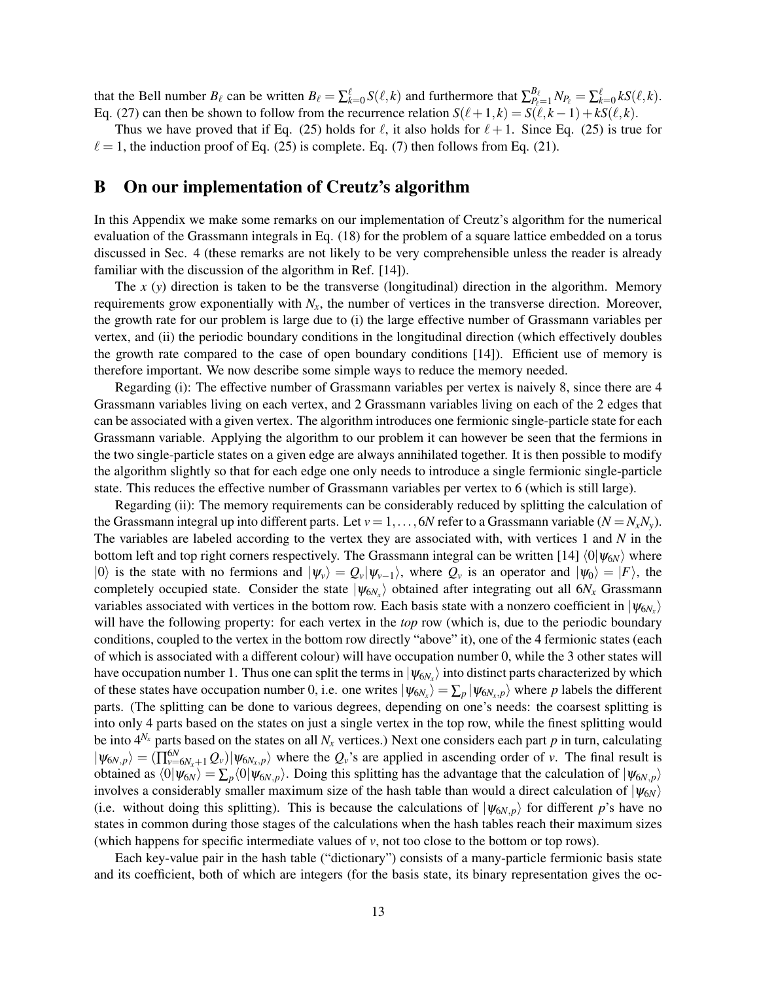that the Bell number  $B_\ell$  can be written  $B_\ell = \sum_{k=0}^\ell S(\ell, k)$  and furthermore that  $\sum_{P_\ell=1}^{B_\ell} N_{P_\ell} = \sum_{k=0}^\ell k S(\ell, k)$ . Eq. (27) can then be shown to follow from the recurrence relation  $S(\ell+1, k) = S(\ell, k-1) + kS(\ell, k)$ .

Thus we have proved that if Eq. (25) holds for  $\ell$ , it also holds for  $\ell + 1$ . Since Eq. (25) is true for  $\ell = 1$ , the induction proof of Eq. (25) is complete. Eq. (7) then follows from Eq. (21).

### B On our implementation of Creutz's algorithm

In this Appendix we make some remarks on our implementation of Creutz's algorithm for the numerical evaluation of the Grassmann integrals in Eq. (18) for the problem of a square lattice embedded on a torus discussed in Sec. 4 (these remarks are not likely to be very comprehensible unless the reader is already familiar with the discussion of the algorithm in Ref. [14]).

The *x* (*y*) direction is taken to be the transverse (longitudinal) direction in the algorithm. Memory requirements grow exponentially with  $N_x$ , the number of vertices in the transverse direction. Moreover, the growth rate for our problem is large due to (i) the large effective number of Grassmann variables per vertex, and (ii) the periodic boundary conditions in the longitudinal direction (which effectively doubles the growth rate compared to the case of open boundary conditions [14]). Efficient use of memory is therefore important. We now describe some simple ways to reduce the memory needed.

Regarding (i): The effective number of Grassmann variables per vertex is naively 8, since there are 4 Grassmann variables living on each vertex, and 2 Grassmann variables living on each of the 2 edges that can be associated with a given vertex. The algorithm introduces one fermionic single-particle state for each Grassmann variable. Applying the algorithm to our problem it can however be seen that the fermions in the two single-particle states on a given edge are always annihilated together. It is then possible to modify the algorithm slightly so that for each edge one only needs to introduce a single fermionic single-particle state. This reduces the effective number of Grassmann variables per vertex to 6 (which is still large).

Regarding (ii): The memory requirements can be considerably reduced by splitting the calculation of the Grassmann integral up into different parts. Let  $v = 1, \ldots, 6N$  refer to a Grassmann variable  $(N = N_x N_y)$ . The variables are labeled according to the vertex they are associated with, with vertices 1 and *N* in the bottom left and top right corners respectively. The Grassmann integral can be written [14]  $\langle 0|\psi_{6N}\rangle$  where  $|0\rangle$  is the state with no fermions and  $|\psi_v\rangle = Q_v|\psi_{v-1}\rangle$ , where  $Q_v$  is an operator and  $|\psi_0\rangle = |F\rangle$ , the completely occupied state. Consider the state  $|\psi_{6N_x}\rangle$  obtained after integrating out all  $6N_x$  Grassmann variables associated with vertices in the bottom row. Each basis state with a nonzero coefficient in  $|\psi_{6N_x}\rangle$ will have the following property: for each vertex in the *top* row (which is, due to the periodic boundary conditions, coupled to the vertex in the bottom row directly "above" it), one of the 4 fermionic states (each of which is associated with a different colour) will have occupation number 0, while the 3 other states will have occupation number 1. Thus one can split the terms in  $|\psi_{6N_x}\rangle$  into distinct parts characterized by which of these states have occupation number 0, i.e. one writes  $|\psi_{6N_x}\rangle = \sum_p |\psi_{6N_x,p}\rangle$  where *p* labels the different parts. (The splitting can be done to various degrees, depending on one's needs: the coarsest splitting is into only 4 parts based on the states on just a single vertex in the top row, while the finest splitting would be into  $4^{N_x}$  parts based on the states on all  $N_x$  vertices.) Next one considers each part p in turn, calculating  $|\psi_{6N,p}\rangle = (\prod_{\nu=6N_x+1}^{6N} Q_{\nu})|\psi_{6N_x,p}\rangle$  where the  $Q_{\nu}$ 's are applied in ascending order of *v*. The final result is obtained as  $\langle 0 | \psi_{6N} \rangle = \sum_{p} \langle 0 | \psi_{6N,p} \rangle$ . Doing this splitting has the advantage that the calculation of  $|\psi_{6N,p} \rangle$ involves a considerably smaller maximum size of the hash table than would a direct calculation of  $|\psi_{6N}\rangle$ (i.e. without doing this splitting). This is because the calculations of  $|\psi_{6N,p}\rangle$  for different *p*'s have no states in common during those stages of the calculations when the hash tables reach their maximum sizes (which happens for specific intermediate values of *v*, not too close to the bottom or top rows).

Each key-value pair in the hash table ("dictionary") consists of a many-particle fermionic basis state and its coefficient, both of which are integers (for the basis state, its binary representation gives the oc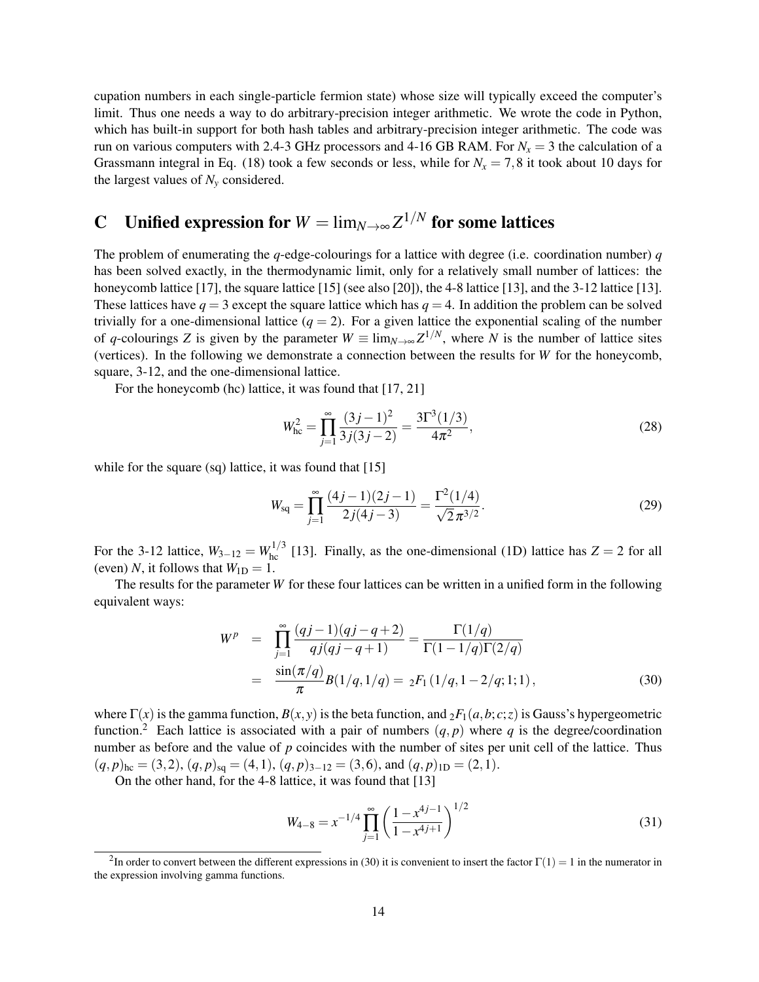cupation numbers in each single-particle fermion state) whose size will typically exceed the computer's limit. Thus one needs a way to do arbitrary-precision integer arithmetic. We wrote the code in Python, which has built-in support for both hash tables and arbitrary-precision integer arithmetic. The code was run on various computers with 2.4-3 GHz processors and 4-16 GB RAM. For  $N_x = 3$  the calculation of a Grassmann integral in Eq. (18) took a few seconds or less, while for  $N_x = 7,8$  it took about 10 days for the largest values of  $N_v$  considered.

# **C** Unified expression for  $W = \lim_{N \to \infty} Z^{1/N}$  for some lattices

The problem of enumerating the *q*-edge-colourings for a lattice with degree (i.e. coordination number) *q* has been solved exactly, in the thermodynamic limit, only for a relatively small number of lattices: the honeycomb lattice [17], the square lattice [15] (see also [20]), the 4-8 lattice [13], and the 3-12 lattice [13]. These lattices have  $q = 3$  except the square lattice which has  $q = 4$ . In addition the problem can be solved trivially for a one-dimensional lattice  $(q = 2)$ . For a given lattice the exponential scaling of the number of *q*-colourings *Z* is given by the parameter  $W \equiv \lim_{N \to \infty} Z^{1/N}$ , where *N* is the number of lattice sites (vertices). In the following we demonstrate a connection between the results for *W* for the honeycomb, square, 3-12, and the one-dimensional lattice.

For the honeycomb (hc) lattice, it was found that [17, 21]

$$
W_{\text{hc}}^2 = \prod_{j=1}^{\infty} \frac{(3j-1)^2}{3j(3j-2)} = \frac{3\Gamma^3(1/3)}{4\pi^2},
$$
\n(28)

while for the square (sq) lattice, it was found that [15]

$$
W_{\text{sq}} = \prod_{j=1}^{\infty} \frac{(4j-1)(2j-1)}{2j(4j-3)} = \frac{\Gamma^2(1/4)}{\sqrt{2}\pi^{3/2}}.
$$
 (29)

For the 3-12 lattice,  $W_{3-12} = W_{hc}^{1/3}$  [13]. Finally, as the one-dimensional (1D) lattice has  $Z = 2$  for all (even) *N*, it follows that  $W_{1D} = 1$ .

The results for the parameter *W* for these four lattices can be written in a unified form in the following equivalent ways:

$$
W^{p} = \prod_{j=1}^{\infty} \frac{(qj-1)(qj-q+2)}{qj(qj-q+1)} = \frac{\Gamma(1/q)}{\Gamma(1-1/q)\Gamma(2/q)}
$$
  
= 
$$
\frac{\sin(\pi/q)}{\pi} B(1/q, 1/q) = {}_{2}F_{1}(1/q, 1-2/q; 1; 1),
$$
 (30)

where  $\Gamma(x)$  is the gamma function,  $B(x, y)$  is the beta function, and  ${}_2F_1(a, b; c; z)$  is Gauss's hypergeometric function.<sup>2</sup> Each lattice is associated with a pair of numbers  $(q, p)$  where q is the degree/coordination number as before and the value of *p* coincides with the number of sites per unit cell of the lattice. Thus  $(q, p)_{\text{hc}} = (3, 2), (q, p)_{\text{sq}} = (4, 1), (q, p)_{3-12} = (3, 6), \text{ and } (q, p)_{1D} = (2, 1).$ 

On the other hand, for the 4-8 lattice, it was found that [13]

$$
W_{4-8} = x^{-1/4} \prod_{j=1}^{\infty} \left( \frac{1 - x^{4j-1}}{1 - x^{4j+1}} \right)^{1/2}
$$
 (31)

<sup>&</sup>lt;sup>2</sup>In order to convert between the different expressions in (30) it is convenient to insert the factor  $\Gamma(1) = 1$  in the numerator in the expression involving gamma functions.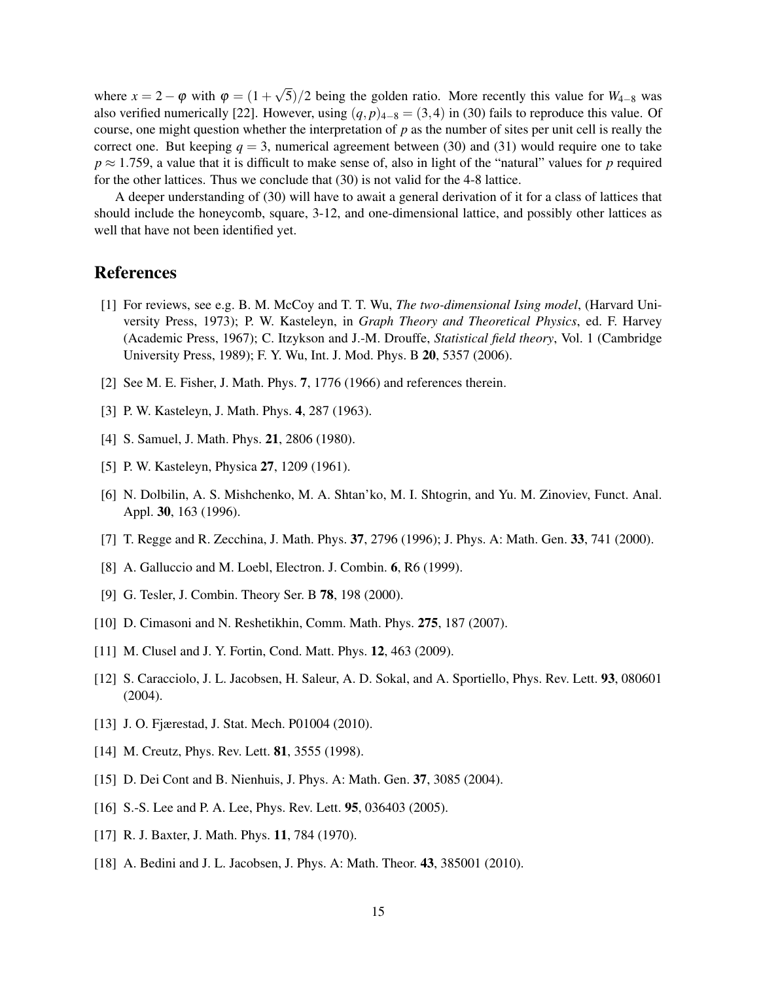where  $x = 2 - \varphi$  with  $\varphi = (1 + \pi)\varphi$ √ 5)/2 being the golden ratio. More recently this value for *W*4−<sup>8</sup> was also verified numerically [22]. However, using  $(q, p)_{4-8} = (3, 4)$  in (30) fails to reproduce this value. Of course, one might question whether the interpretation of *p* as the number of sites per unit cell is really the correct one. But keeping  $q = 3$ , numerical agreement between (30) and (31) would require one to take  $p \approx 1.759$ , a value that it is difficult to make sense of, also in light of the "natural" values for *p* required for the other lattices. Thus we conclude that (30) is not valid for the 4-8 lattice.

A deeper understanding of (30) will have to await a general derivation of it for a class of lattices that should include the honeycomb, square, 3-12, and one-dimensional lattice, and possibly other lattices as well that have not been identified yet.

# References

- [1] For reviews, see e.g. B. M. McCoy and T. T. Wu, *The two-dimensional Ising model*, (Harvard University Press, 1973); P. W. Kasteleyn, in *Graph Theory and Theoretical Physics*, ed. F. Harvey (Academic Press, 1967); C. Itzykson and J.-M. Drouffe, *Statistical field theory*, Vol. 1 (Cambridge University Press, 1989); F. Y. Wu, Int. J. Mod. Phys. B 20, 5357 (2006).
- [2] See M. E. Fisher, J. Math. Phys. 7, 1776 (1966) and references therein.
- [3] P. W. Kasteleyn, J. Math. Phys. 4, 287 (1963).
- [4] S. Samuel, J. Math. Phys. 21, 2806 (1980).
- [5] P. W. Kasteleyn, Physica 27, 1209 (1961).
- [6] N. Dolbilin, A. S. Mishchenko, M. A. Shtan'ko, M. I. Shtogrin, and Yu. M. Zinoviev, Funct. Anal. Appl. 30, 163 (1996).
- [7] T. Regge and R. Zecchina, J. Math. Phys. 37, 2796 (1996); J. Phys. A: Math. Gen. 33, 741 (2000).
- [8] A. Galluccio and M. Loebl, Electron. J. Combin. 6, R6 (1999).
- [9] G. Tesler, J. Combin. Theory Ser. B **78**, 198 (2000).
- [10] D. Cimasoni and N. Reshetikhin, Comm. Math. Phys. 275, 187 (2007).
- [11] M. Clusel and J. Y. Fortin, Cond. Matt. Phys. **12**, 463 (2009).
- [12] S. Caracciolo, J. L. Jacobsen, H. Saleur, A. D. Sokal, and A. Sportiello, Phys. Rev. Lett. 93, 080601 (2004).
- [13] J. O. Fjærestad, J. Stat. Mech. P01004 (2010).
- [14] M. Creutz, Phys. Rev. Lett. **81**, 3555 (1998).
- [15] D. Dei Cont and B. Nienhuis, J. Phys. A: Math. Gen. 37, 3085 (2004).
- [16] S.-S. Lee and P. A. Lee, *Phys. Rev. Lett.* **95**, 036403 (2005).
- [17] R. J. Baxter, J. Math. Phys. 11, 784 (1970).
- [18] A. Bedini and J. L. Jacobsen, J. Phys. A: Math. Theor. 43, 385001 (2010).